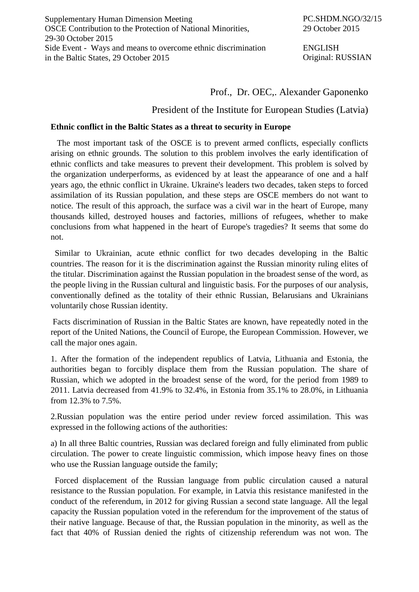Supplementary Human Dimension Meeting OSCE Contribution to the Protection of National Minorities, 29-30 October 2015 Side Event - Ways and means to overcome ethnic discrimination in the Baltic States, 29 October 2015

ENGLISH Original: RUSSIAN

## Prof., Dr. OEC,. Alexander Gaponenko

## President of the Institute for European Studies (Latvia)

## **Ethnic conflict in the Baltic States as a threat to security in Europe**

 The most important task of the OSCE is to prevent armed conflicts, especially conflicts arising on ethnic grounds. The solution to this problem involves the early identification of ethnic conflicts and take measures to prevent their development. This problem is solved by the organization underperforms, as evidenced by at least the appearance of one and a half years ago, the ethnic conflict in Ukraine. Ukraine's leaders two decades, taken steps to forced assimilation of its Russian population, and these steps are OSCE members do not want to notice. The result of this approach, the surface was a civil war in the heart of Europe, many thousands killed, destroyed houses and factories, millions of refugees, whether to make conclusions from what happened in the heart of Europe's tragedies? It seems that some do not.

 Similar to Ukrainian, acute ethnic conflict for two decades developing in the Baltic countries. The reason for it is the discrimination against the Russian minority ruling elites of the titular. Discrimination against the Russian population in the broadest sense of the word, as the people living in the Russian cultural and linguistic basis. For the purposes of our analysis, conventionally defined as the totality of their ethnic Russian, Belarusians and Ukrainians voluntarily chose Russian identity.

Facts discrimination of Russian in the Baltic States are known, have repeatedly noted in the report of the United Nations, the Council of Europe, the European Commission. However, we call the major ones again.

1. After the formation of the independent republics of Latvia, Lithuania and Estonia, the authorities began to forcibly displace them from the Russian population. The share of Russian, which we adopted in the broadest sense of the word, for the period from 1989 to 2011. Latvia decreased from 41.9% to 32.4%, in Estonia from 35.1% to 28.0%, in Lithuania from 12.3% to 7.5%.

2.Russian population was the entire period under review forced assimilation. This was expressed in the following actions of the authorities:

a) In all three Baltic countries, Russian was declared foreign and fully eliminated from public circulation. The power to create linguistic commission, which impose heavy fines on those who use the Russian language outside the family;

 Forced displacement of the Russian language from public circulation caused a natural resistance to the Russian population. For example, in Latvia this resistance manifested in the conduct of the referendum, in 2012 for giving Russian a second state language. All the legal capacity the Russian population voted in the referendum for the improvement of the status of their native language. Because of that, the Russian population in the minority, as well as the fact that 40% of Russian denied the rights of citizenship referendum was not won. The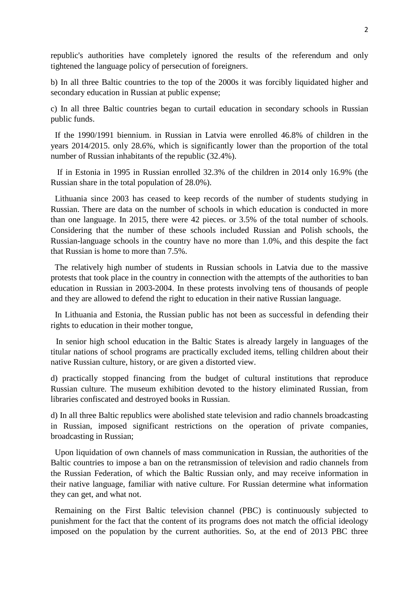republic's authorities have completely ignored the results of the referendum and only tightened the language policy of persecution of foreigners.

b) In all three Baltic countries to the top of the 2000s it was forcibly liquidated higher and secondary education in Russian at public expense;

c) In all three Baltic countries began to curtail education in secondary schools in Russian public funds.

 If the 1990/1991 biennium. in Russian in Latvia were enrolled 46.8% of children in the years 2014/2015. only 28.6%, which is significantly lower than the proportion of the total number of Russian inhabitants of the republic (32.4%).

 If in Estonia in 1995 in Russian enrolled 32.3% of the children in 2014 only 16.9% (the Russian share in the total population of 28.0%).

 Lithuania since 2003 has ceased to keep records of the number of students studying in Russian. There are data on the number of schools in which education is conducted in more than one language. In 2015, there were 42 pieces. or 3.5% of the total number of schools. Considering that the number of these schools included Russian and Polish schools, the Russian-language schools in the country have no more than 1.0%, and this despite the fact that Russian is home to more than 7.5%.

 The relatively high number of students in Russian schools in Latvia due to the massive protests that took place in the country in connection with the attempts of the authorities to ban education in Russian in 2003-2004. In these protests involving tens of thousands of people and they are allowed to defend the right to education in their native Russian language.

 In Lithuania and Estonia, the Russian public has not been as successful in defending their rights to education in their mother tongue,

In senior high school education in the Baltic States is already largely in languages of the titular nations of school programs are practically excluded items, telling children about their native Russian culture, history, or are given a distorted view.

d) practically stopped financing from the budget of cultural institutions that reproduce Russian culture. The museum exhibition devoted to the history eliminated Russian, from libraries confiscated and destroyed books in Russian.

d) In all three Baltic republics were abolished state television and radio channels broadcasting in Russian, imposed significant restrictions on the operation of private companies, broadcasting in Russian;

 Upon liquidation of own channels of mass communication in Russian, the authorities of the Baltic countries to impose a ban on the retransmission of television and radio channels from the Russian Federation, of which the Baltic Russian only, and may receive information in their native language, familiar with native culture. For Russian determine what information they can get, and what not.

 Remaining on the First Baltic television channel (PBC) is continuously subjected to punishment for the fact that the content of its programs does not match the official ideology imposed on the population by the current authorities. So, at the end of 2013 PBC three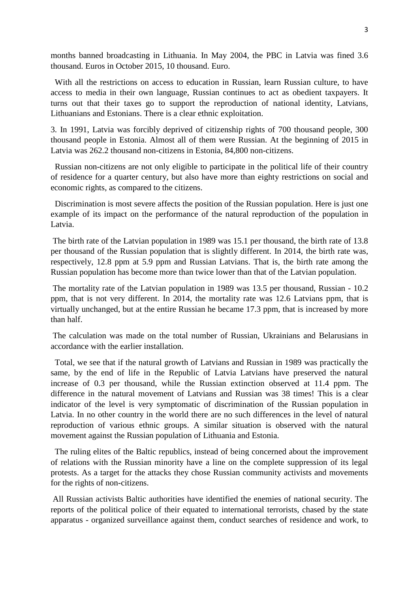months banned broadcasting in Lithuania. In May 2004, the PBC in Latvia was fined 3.6 thousand. Euros in October 2015, 10 thousand. Euro.

With all the restrictions on access to education in Russian, learn Russian culture, to have access to media in their own language, Russian continues to act as obedient taxpayers. It turns out that their taxes go to support the reproduction of national identity, Latvians, Lithuanians and Estonians. There is a clear ethnic exploitation.

3. In 1991, Latvia was forcibly deprived of citizenship rights of 700 thousand people, 300 thousand people in Estonia. Almost all of them were Russian. At the beginning of 2015 in Latvia was 262.2 thousand non-citizens in Estonia, 84,800 non-citizens.

 Russian non-citizens are not only eligible to participate in the political life of their country of residence for a quarter century, but also have more than eighty restrictions on social and economic rights, as compared to the citizens.

 Discrimination is most severe affects the position of the Russian population. Here is just one example of its impact on the performance of the natural reproduction of the population in Latvia.

The birth rate of the Latvian population in 1989 was 15.1 per thousand, the birth rate of 13.8 per thousand of the Russian population that is slightly different. In 2014, the birth rate was, respectively, 12.8 ppm at 5.9 ppm and Russian Latvians. That is, the birth rate among the Russian population has become more than twice lower than that of the Latvian population.

The mortality rate of the Latvian population in 1989 was 13.5 per thousand, Russian - 10.2 ppm, that is not very different. In 2014, the mortality rate was 12.6 Latvians ppm, that is virtually unchanged, but at the entire Russian he became 17.3 ppm, that is increased by more than half.

The calculation was made on the total number of Russian, Ukrainians and Belarusians in accordance with the earlier installation.

 Total, we see that if the natural growth of Latvians and Russian in 1989 was practically the same, by the end of life in the Republic of Latvia Latvians have preserved the natural increase of 0.3 per thousand, while the Russian extinction observed at 11.4 ppm. The difference in the natural movement of Latvians and Russian was 38 times! This is a clear indicator of the level is very symptomatic of discrimination of the Russian population in Latvia. In no other country in the world there are no such differences in the level of natural reproduction of various ethnic groups. A similar situation is observed with the natural movement against the Russian population of Lithuania and Estonia.

 The ruling elites of the Baltic republics, instead of being concerned about the improvement of relations with the Russian minority have a line on the complete suppression of its legal protests. As a target for the attacks they chose Russian community activists and movements for the rights of non-citizens.

All Russian activists Baltic authorities have identified the enemies of national security. The reports of the political police of their equated to international terrorists, chased by the state apparatus - organized surveillance against them, conduct searches of residence and work, to